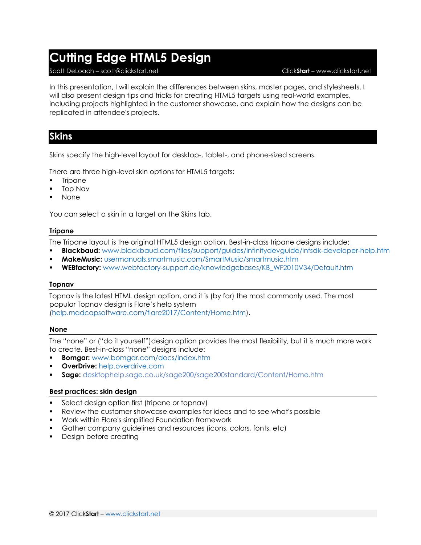# **Cutting Edge HTML5 Design**

#### Scott DeLoach – scott@clickstart.net Click**Start** – www.clickstart.net

In this presentation, I will explain the differences between skins, master pages, and stylesheets. I will also present design tips and tricks for creating HTML5 targets using real-world examples, including projects highlighted in the customer showcase, and explain how the designs can be replicated in attendee's projects.

## **Skins**

Skins specify the high-level layout for desktop-, tablet-, and phone-sized screens.

There are three high-level skin options for HTML5 targets:

- **Tripane**
- **Top Nav**
- **None**

You can select a skin in a target on the Skins tab.

#### **Tripane**

The Tripane layout is the original HTML5 design option. Best-in-class tripane designs include:

- **Blackbaud:** <www.blackbaud.com/files/support/guides/infinitydevguide/infsdk-developer-help.htm>
- **MakeMusic:** <usermanuals.smartmusic.com/SmartMusic/smartmusic.htm>
- **WEBfactory:** [www.webfactory-support.de/knowledgebases/KB\\_WF2010V34/Default.htm](http://www.webfactory-support.de/knowledgebases/KB_WF2010V34/Default.htm)

#### **Topnav**

Topnav is the latest HTML design option, and it is (by far) the most commonly used. The most popular Topnav design is Flare's help system [\(help.madcapsoftware.com/flare2017/Content/Home.htm\)](help.madcapsoftware.com/flare2017/Content/Home.htm).

### **None**

The "none" or ("do it yourself")design option provides the most flexibility, but it is much more work to create. Best-in-class "none" designs include:

- **Bomgar:** [www.bomgar.com/docs/index.htm](http://www.bomgar.com/docs/index.htm)
- **OverDrive:** [help.overdrive.com](http://help.overdrive.com/)
- **Sage:** [desktophelp.sage.co.uk/sage200/sage200standard/Content/Home.htm](http://desktophelp.sage.co.uk/sage200/sage200standard/Content/Home.htm)

### **Best practices: skin design**

- Select design option first (tripane or topnav)
- Review the customer showcase examples for ideas and to see what's possible
- Work within Flare's simplified Foundation framework
- Gather company guidelines and resources (icons, colors, fonts, etc)
- **Design before creating**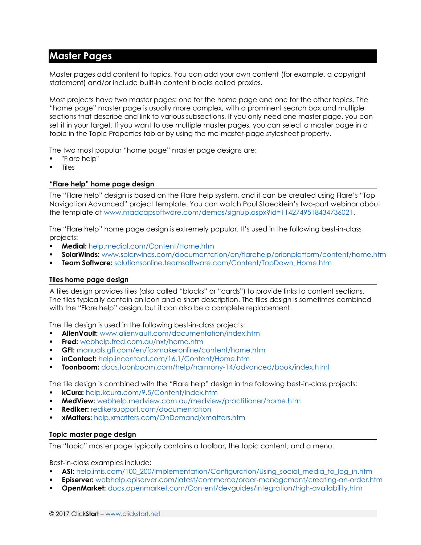## **Master Pages**

Master pages add content to topics. You can add your own content (for example, a copyright statement) and/or include built-in content blocks called proxies.

Most projects have two master pages: one for the home page and one for the other topics. The "home page" master page is usually more complex, with a prominent search box and multiple sections that describe and link to various subsections. If you only need one master page, you can set it in your target. If you want to use multiple master pages, you can select a master page in a topic in the Topic Properties tab or by using the mc-master-page stylesheet property.

The two most popular "home page" master page designs are:

- "Flare help"
- **Tiles**

### **"Flare help" home page design**

The "Flare help" design is based on the Flare help system, and it can be created using Flare's "Top Navigation Advanced" project template. You can watch Paul Stoecklein's two-part webinar about the template at [www.madcapsoftware.com/demos/signup.aspx?id=1142749518434736021.](www.madcapsoftware.com/demos/signup.aspx?id=1142749518434736021)

The "Flare help" home page design is extremely popular. It's used in the following best-in-class projects:

- **Medial:** [help.medial.com/Content/Home.htm](http://help.medial.com/Content/Home.htm)
- **SolarWinds:** [www.solarwinds.com/documentation/en/flarehelp/orionplatform/content/home.htm](http://www.solarwinds.com/documentation/en/flarehelp/orionplatform/content/home.htm)
- **Team Software:** solutionsonline.teamsoftware.com/Content/TopDown Home.htm

#### **Tiles home page design**

A tiles design provides tiles (also called "blocks" or "cards") to provide links to content sections. The tiles typically contain an icon and a short description. The tiles design is sometimes combined with the "Flare help" design, but it can also be a complete replacement.

The tile design is used in the following best-in-class projects:

- **AlienVault:** [www.alienvault.com/documentation/index.htm](http://www.alienvault.com/documentation/index.htm)
- **Fred:** [webhelp.fred.com.au/nxt/home.htm](http://webhelp.fred.com.au/nxt/home.htm)
- **GFI:** <manuals.gfi.com/en/faxmakeronline/content/home.htm>
- **inContact:** <help.incontact.com/16.1/Content/Home.htm>
- **Toonboom:** <docs.toonboom.com/help/harmony-14/advanced/book/index.html>

The tile design is combined with the "Flare help" design in the following best-in-class projects:

- **kCura:** [help.kcura.com/9.5/Content/index.htm](http://help.kcura.com/9.5/Content/index.htm)
- **MedView:** [webhelp.medview.com.au/medview/practitioner/home.htm](http://webhelp.medview.com.au/medview/practitioner/home.htm)
- **Rediker:** [redikersupport.com/documentation](http://redikersupport.com/documentation)
- **xMatters:** [help.xmatters.com/OnDemand/xmatters.htm](http://help.xmatters.com/OnDemand/xmatters.htm)

#### **Topic master page design**

The "topic" master page typically contains a toolbar, the topic content, and a menu.

Best-in-class examples include:

- **ASI:** [help.imis.com/100\\_200/Implementation/Configuration/Using\\_social\\_media\\_to\\_log\\_in.htm](http://help.imis.com/100_200/Implementation/Configuration/Using_social_media_to_log_in.htm)
- **Episerver:** [webhelp.episerver.com/latest/commerce/order-management/creating-an-order.htm](http://webhelp.episerver.com/latest/commerce/order-management/creating-an-order.htm)
- **OpenMarket:** [docs.openmarket.com/Content/devguides/integration/high-availability.htm](http://docs.openmarket.com/Content/devguides/integration/high-availability.htm)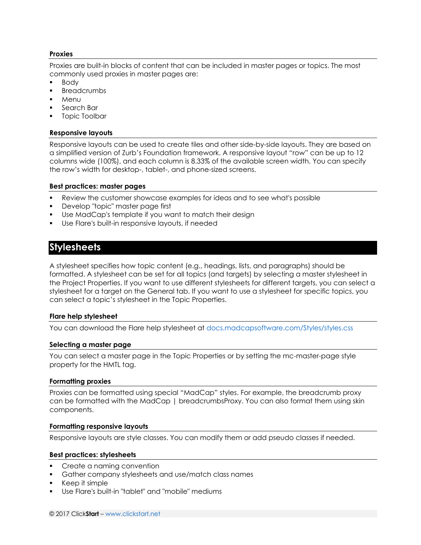#### **Proxies**

Proxies are built-in blocks of content that can be included in master pages or topics. The most commonly used proxies in master pages are:

- **Body**
- **Breadcrumbs**
- Menu
- Search Bar
- Topic Toolbar

#### **Responsive layouts**

Responsive layouts can be used to create tiles and other side-by-side layouts. They are based on a simplified version of Zurb's Foundation framework. A responsive layout "row" can be up to 12 columns wide (100%), and each column is 8.33% of the available screen width. You can specify the row's width for desktop-, tablet-, and phone-sized screens.

#### **Best practices: master pages**

- Review the customer showcase examples for ideas and to see what's possible
- Develop "topic" master page first
- Use MadCap's template if you want to match their design
- Use Flare's built-in responsive layouts, if needed

## **Stylesheets**

A stylesheet specifies how topic content (e.g., headings, lists, and paragraphs) should be formatted. A stylesheet can be set for all topics (and targets) by selecting a master stylesheet in the Project Properties. If you want to use different stylesheets for different targets, you can select a stylesheet for a target on the General tab. If you want to use a stylesheet for specific topics, you can select a topic's stylesheet in the Topic Properties.

#### **Flare help stylesheet**

You can download the Flare help stylesheet at<docs.madcapsoftware.com/Styles/styles.css>

#### **Selecting a master page**

You can select a master page in the Topic Properties or by setting the mc-master-page style property for the HMTL tag.

#### **Formatting proxies**

Proxies can be formatted using special "MadCap" styles. For example, the breadcrumb proxy can be formatted with the MadCap | breadcrumbsProxy. You can also format them using skin components.

#### **Formatting responsive layouts**

Responsive layouts are style classes. You can modify them or add pseudo classes if needed.

#### **Best practices: stylesheets**

- Create a naming convention
- Gather company stylesheets and use/match class names
- Keep it simple
- Use Flare's built-in "tablet" and "mobile" mediums